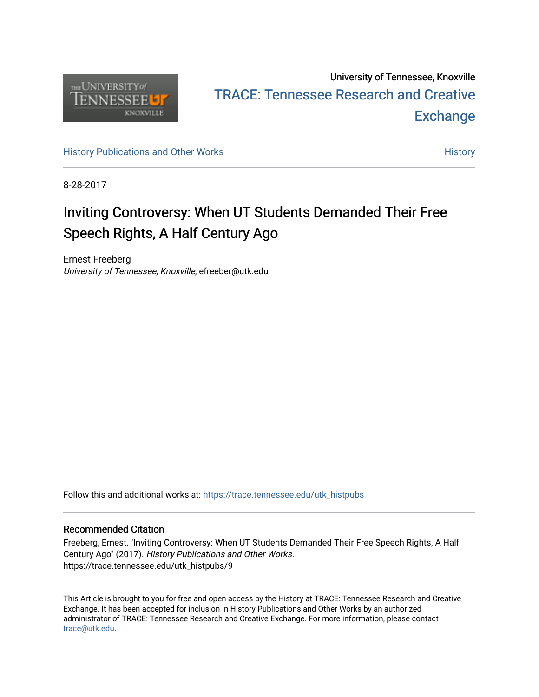

## University of Tennessee, Knoxville TRACE: T[ennessee Research and Cr](https://trace.tennessee.edu/)eative **Exchange**

[History Publications and Other Works](https://trace.tennessee.edu/utk_histpubs) **History** History

8-28-2017

## Inviting Controversy: When UT Students Demanded Their Free Speech Rights, A Half Century Ago

Ernest Freeberg University of Tennessee, Knoxville, efreeber@utk.edu

Follow this and additional works at: [https://trace.tennessee.edu/utk\\_histpubs](https://trace.tennessee.edu/utk_histpubs?utm_source=trace.tennessee.edu%2Futk_histpubs%2F9&utm_medium=PDF&utm_campaign=PDFCoverPages) 

## Recommended Citation

Freeberg, Ernest, "Inviting Controversy: When UT Students Demanded Their Free Speech Rights, A Half Century Ago" (2017). History Publications and Other Works. https://trace.tennessee.edu/utk\_histpubs/9

This Article is brought to you for free and open access by the History at TRACE: Tennessee Research and Creative Exchange. It has been accepted for inclusion in History Publications and Other Works by an authorized administrator of TRACE: Tennessee Research and Creative Exchange. For more information, please contact [trace@utk.edu.](mailto:trace@utk.edu)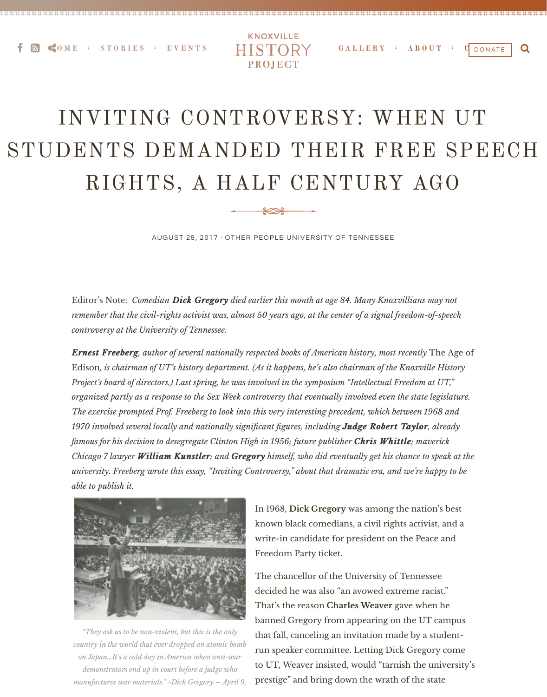**EXECUTES [EVENTS](http://knoxvillehistoryproject.org/events/) HISTORY [GALLERY](http://knoxvillehistoryproject.org/gallery/) [ABOUT](http://knoxvillehistoryproject.org/about/) C** DONATE **Q** 



## INVITING CONTROVERSY: WHEN UT STUDENTS DEMANDED THEIR FREE SPEECH RIGHTS, A HALF CENTURY AGO

AUGUST 28, 2017 · [OTHER](http://knoxvillehistoryproject.org/category/other/) [PEOPLE](http://knoxvillehistoryproject.org/category/people/) [UNIVERSITY OF TENNESSEE](http://knoxvillehistoryproject.org/category/ut/)

Editor's Note: *Comedian Dick Gregory died earlier this month at age 84. Many Knoxvillians may not remember that the civil-rights activist was, almost 50 years ago, at the center of a signal freedom-of-speech controversy at the University of Tennessee.*

*Ernest Freeberg, author of several nationally respected books of American history, most recently The Age of* Edison*, is chairman of UT's history department. (As it happens, he's also chairman of the Knoxville History Project's board of directors.) Last spring, he was involved in the symposium "Intellectual Freedom at UT," organized partly as a response to the Sex Week controversy that eventually involved even the state legislature. The exercise prompted Prof. Freeberg to look into this very interesting precedent, which between 1968 and 1970 involved several locally and nationally significant figures, including Judge Robert Taylor Judge Robert Taylor, already famous for his decision to desegregate Clinton High in 1956; future publisher Chris Whittle Chris Whittle; maverick Chicago 7 lawyer William Kunstler; and Gregory himself, who did eventually get his chance to speak at the university. Freeberg wrote this essay, "Inviting Controversy," about that dramatic era, and we're happy to be able to publish it.* 



In 1968, **Dick Gregory** was among the nation's best

known black comedians, a civil rights activist, and a write-in candidate for president on the Peace and Freedom Party ticket.

The chancellor of the University of Tennessee decided he was also "an avowed extreme racist." That's the reason **Charles Weaver** gave when he banned Gregory from appearing on the UT campus that fall, canceling an invitation made by a studentrun speaker committee. Letting Dick Gregory come to UT, Weaver insisted, would "tarnish the university's prestige" and bring down the wrath of the state

*"They ask us to be non-violent, but this is the only country in the world that ever dropped an atomic bomb on Japan…It's a cold day in America when anti-war demonstrators end up in court before a judge who manufactures war materials." ~Dick Gregory – April 9,*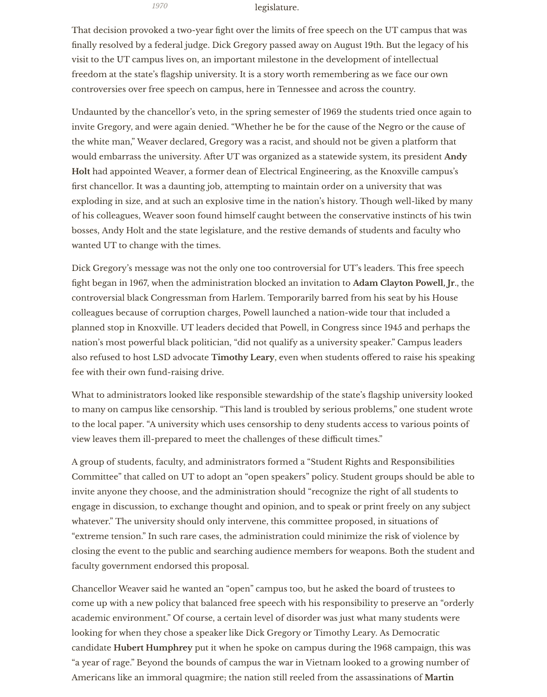legislature.

That decision provoked a two-year fight over the limits of free speech on the UT campus that was finally resolved by a federal judge. Dick Gregory passed away on August 19th. But the legacy of his visit to the UT campus lives on, an important milestone in the development of intellectual freedom at the state's flagship university. It is a story worth remembering as we face our own controversies over free speech on campus, here in Tennessee and across the country.

Undaunted by the chancellor's veto, in the spring semester of 1969 the students tried once again to invite Gregory, and were again denied. "Whether he be for the cause of the Negro or the cause of the white man," Weaver declared, Gregory was a racist, and should not be given a platform that would embarrass the university. Afer UT was organized as a statewide system, its president **Andy Holt** had appointed Weaver, a former dean of Electrical Engineering, as the Knoxville campus's first chancellor. It was a daunting job, attempting to maintain order on a university that was exploding in size, and at such an explosive time in the nation's history. Though well-liked by many of his colleagues, Weaver soon found himself caught between the conservative instincts of his twin bosses, Andy Holt and the state legislature, and the restive demands of students and faculty who wanted UT to change with the times.

Dick Gregory's message was not the only one too controversial for UT's leaders. This free speech fight began in 1967, when the administration blocked an invitation to **Adam Clayton Powell, Jr**., the controversial black Congressman from Harlem. Temporarily barred from his seat by his House colleagues because of corruption charges, Powell launched a nation-wide tour that included a planned stop in Knoxville. UT leaders decided that Powell, in Congress since 1945 and perhaps the nation's most powerful black politician, "did not qualify as a university speaker." Campus leaders also refused to host LSD advocate **Timothy Leary**, even when students offered to raise his speaking fee with their own fund-raising drive.

What to administrators looked like responsible stewardship of the state's flagship university looked to many on campus like censorship. "This land is troubled by serious problems," one student wrote to the local paper. "A university which uses censorship to deny students access to various points of view leaves them ill-prepared to meet the challenges of these difficult times."

A group of students, faculty, and administrators formed a "Student Rights and Responsibilities Committee" that called on UT to adopt an "open speakers" policy. Student groups should be able to invite anyone they choose, and the administration should "recognize the right of all students to engage in discussion, to exchange thought and opinion, and to speak or print freely on any subject

whatever." The university should only intervene, this committee proposed, in situations of "extreme tension." In such rare cases, the administration could minimize the risk of violence by closing the event to the public and searching audience members for weapons. Both the student and faculty government endorsed this proposal.

Chancellor Weaver said he wanted an "open" campus too, but he asked the board of trustees to come up with a new policy that balanced free speech with his responsibility to preserve an "orderly academic environment." Of course, a certain level of disorder was just what many students were looking for when they chose a speaker like Dick Gregory or Timothy Leary. As Democratic candidate **Hubert Humphrey** put it when he spoke on campus during the 1968 campaign, this was "a year of rage." Beyond the bounds of campus the war in Vietnam looked to a growing number of Americans like an immoral quagmire; the nation still reeled from the assassinations of **Martin**

*1970*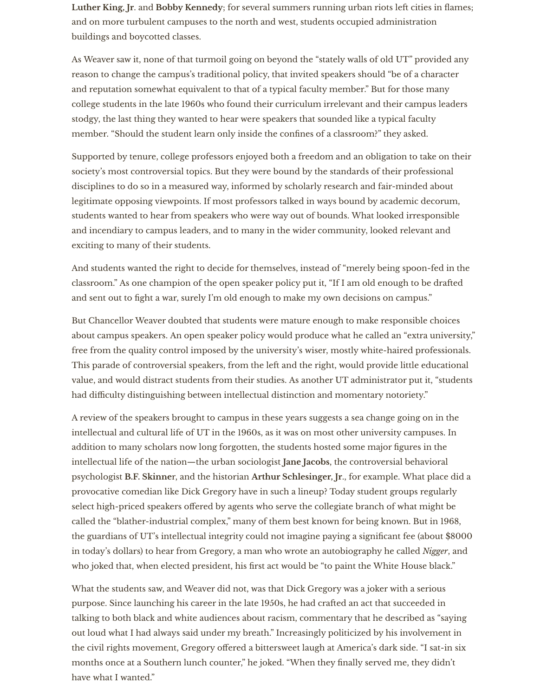Luther King, Jr. and Bobby Kennedy; for several summers running urban riots left cities in flames; and on more turbulent campuses to the north and west, students occupied administration buildings and boycotted classes.

As Weaver saw it, none of that turmoil going on beyond the "stately walls of old UT" provided any reason to change the campus's traditional policy, that invited speakers should "be of a character and reputation somewhat equivalent to that of a typical faculty member." But for those many college students in the late 1960s who found their curriculum irrelevant and their campus leaders stodgy, the last thing they wanted to hear were speakers that sounded like a typical faculty member. "Should the student learn only inside the confines of a classroom?" they asked.

Supported by tenure, college professors enjoyed both a freedom and an obligation to take on their society's most controversial topics. But they were bound by the standards of their professional disciplines to do so in a measured way, informed by scholarly research and fair-minded about legitimate opposing viewpoints. If most professors talked in ways bound by academic decorum, students wanted to hear from speakers who were way out of bounds. What looked irresponsible and incendiary to campus leaders, and to many in the wider community, looked relevant and exciting to many of their students.

And students wanted the right to decide for themselves, instead of "merely being spoon-fed in the classroom." As one champion of the open speaker policy put it, "If I am old enough to be drafed and sent out to fight a war, surely I'm old enough to make my own decisions on campus."

But Chancellor Weaver doubted that students were mature enough to make responsible choices about campus speakers. An open speaker policy would produce what he called an "extra university," free from the quality control imposed by the university's wiser, mostly white-haired professionals. This parade of controversial speakers, from the left and the right, would provide little educational value, and would distract students from their studies. As another UT administrator put it, "students had difficulty distinguishing between intellectual distinction and momentary notoriety."

A review of the speakers brought to campus in these years suggests a sea change going on in the intellectual and cultural life of UT in the 1960s, as it was on most other university campuses. In addition to many scholars now long forgotten, the students hosted some major figures in the intellectual life of the nation—the urban sociologist **Jane Jacobs**, the controversial behavioral psychologist **B.F. Skinne**r, and the historian **Arthur Schlesinger, Jr**., for example. What place did a provocative comedian like Dick Gregory have in such a lineup? Today student groups regularly select high-priced speakers offered by agents who serve the collegiate branch of what might be

called the "blather-industrial complex," many of them best known for being known. But in 1968, the guardians of UT's intellectual integrity could not imagine paying a significant fee (about \$8000 in today's dollars) to hear from Gregory, a man who wrote an autobiography he called *Nigger*, and who joked that, when elected president, his first act would be "to paint the White House black."

What the students saw, and Weaver did not, was that Dick Gregory was a joker with a serious purpose. Since launching his career in the late 1950s, he had crafed an act that succeeded in talking to both black and white audiences about racism, commentary that he described as "saying out loud what I had always said under my breath." Increasingly politicized by his involvement in the civil rights movement, Gregory offered a bittersweet laugh at America's dark side. "I sat-in six months once at a Southern lunch counter," he joked. "When they finally served me, they didn't have what I wanted."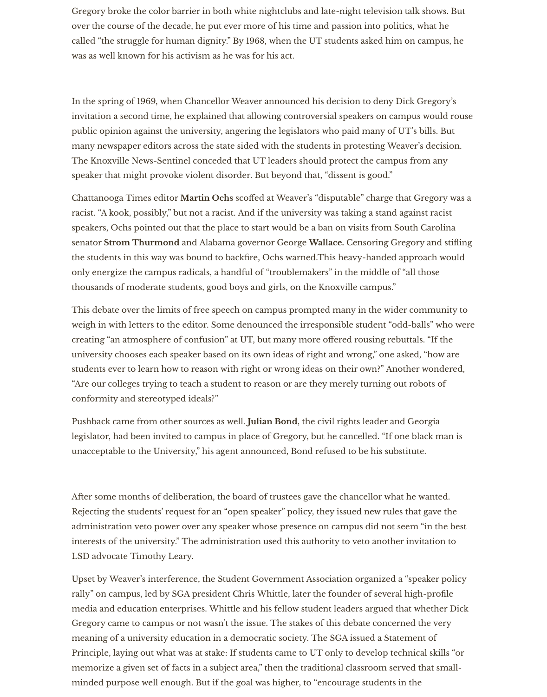Gregory broke the color barrier in both white nightclubs and late-night television talk shows. But over the course of the decade, he put ever more of his time and passion into politics, what he called "the struggle for human dignity." By 1968, when the UT students asked him on campus, he was as well known for his activism as he was for his act.

In the spring of 1969, when Chancellor Weaver announced his decision to deny Dick Gregory's invitation a second time, he explained that allowing controversial speakers on campus would rouse public opinion against the university, angering the legislators who paid many of UT's bills. But many newspaper editors across the state sided with the students in protesting Weaver's decision. The Knoxville News-Sentinel conceded that UT leaders should protect the campus from any speaker that might provoke violent disorder. But beyond that, "dissent is good."

Chattanooga Times editor **Martin Ochs** scoffed at Weaver's "disputable" charge that Gregory was a racist. "A kook, possibly," but not a racist. And if the university was taking a stand against racist speakers, Ochs pointed out that the place to start would be a ban on visits from South Carolina senator **Strom Thurmond** and Alabama governor George **Wallace.** Censoring Gregory and stifling the students in this way was bound to backfire, Ochs warned.This heavy-handed approach would only energize the campus radicals, a handful of "troublemakers" in the middle of "all those thousands of moderate students, good boys and girls, on the Knoxville campus."

This debate over the limits of free speech on campus prompted many in the wider community to weigh in with letters to the editor. Some denounced the irresponsible student "odd-balls" who were creating "an atmosphere of confusion" at UT, but many more offered rousing rebuttals. "If the university chooses each speaker based on its own ideas of right and wrong," one asked, "how are students ever to learn how to reason with right or wrong ideas on their own?" Another wondered, "Are our colleges trying to teach a student to reason or are they merely turning out robots of conformity and stereotyped ideals?"

Pushback came from other sources as well. **Julian Bond**, the civil rights leader and Georgia legislator, had been invited to campus in place of Gregory, but he cancelled. "If one black man is unacceptable to the University," his agent announced, Bond refused to be his substitute.

Afer some months of deliberation, the board of trustees gave the chancellor what he wanted. Rejecting the students' request for an "open speaker" policy, they issued new rules that gave the administration veto power over any speaker whose presence on campus did not seem "in the best interests of the university." The administration used this authority to veto another invitation to LSD advocate Timothy Leary.

Upset by Weaver's interference, the Student Government Association organized a "speaker policy rally" on campus, led by SGA president Chris Whittle, later the founder of several high-profile media and education enterprises. Whittle and his fellow student leaders argued that whether Dick Gregory came to campus or not wasn't the issue. The stakes of this debate concerned the very meaning of a university education in a democratic society. The SGA issued a Statement of Principle, laying out what was at stake: If students came to UT only to develop technical skills "or memorize a given set of facts in a subject area," then the traditional classroom served that smallminded purpose well enough. But if the goal was higher, to "encourage students in the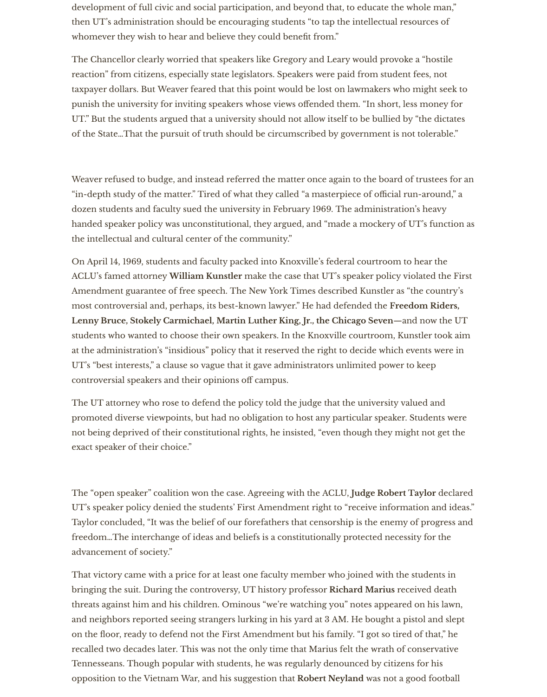development of full civic and social participation, and beyond that, to educate the whole man," then UT's administration should be encouraging students "to tap the intellectual resources of whomever they wish to hear and believe they could benefit from."

The Chancellor clearly worried that speakers like Gregory and Leary would provoke a "hostile reaction" from citizens, especially state legislators. Speakers were paid from student fees, not taxpayer dollars. But Weaver feared that this point would be lost on lawmakers who might seek to punish the university for inviting speakers whose views offended them. "In short, less money for UT." But the students argued that a university should not allow itself to be bullied by "the dictates of the State…That the pursuit of truth should be circumscribed by government is not tolerable."

Weaver refused to budge, and instead referred the matter once again to the board of trustees for an "in-depth study of the matter." Tired of what they called "a masterpiece of official run-around," a dozen students and faculty sued the university in February 1969. The administration's heavy handed speaker policy was unconstitutional, they argued, and "made a mockery of UT's function as the intellectual and cultural center of the community."

On April 14, 1969, students and faculty packed into Knoxville's federal courtroom to hear the ACLU's famed attorney **William Kunstler** make the case that UT's speaker policy violated the First Amendment guarantee of free speech. The New York Times described Kunstler as "the country's most controversial and, perhaps, its best-known lawyer." He had defended the **Freedom Riders, Lenny Bruce, Stokely Carmichael, Martin Luther King, Jr., the Chicago Seven**—and now the UT students who wanted to choose their own speakers. In the Knoxville courtroom, Kunstler took aim at the administration's "insidious" policy that it reserved the right to decide which events were in UT's "best interests," a clause so vague that it gave administrators unlimited power to keep controversial speakers and their opinions off campus.

The UT attorney who rose to defend the policy told the judge that the university valued and promoted diverse viewpoints, but had no obligation to host any particular speaker. Students were not being deprived of their constitutional rights, he insisted, "even though they might not get the exact speaker of their choice."

The "open speaker" coalition won the case. Agreeing with the ACLU, **Judge Robert Taylor** declared UT's speaker policy denied the students' First Amendment right to "receive information and ideas."

Taylor concluded, "It was the belief of our forefathers that censorship is the enemy of progress and freedom…The interchange of ideas and beliefs is a constitutionally protected necessity for the advancement of society."

That victory came with a price for at least one faculty member who joined with the students in bringing the suit. During the controversy, UT history professor **Richard Marius** received death threats against him and his children. Ominous "we're watching you" notes appeared on his lawn, and neighbors reported seeing strangers lurking in his yard at 3 AM. He bought a pistol and slept on the floor, ready to defend not the First Amendment but his family. "I got so tired of that," he recalled two decades later. This was not the only time that Marius felt the wrath of conservative Tennesseans. Though popular with students, he was regularly denounced by citizens for his opposition to the Vietnam War, and his suggestion that **Robert Neyland** was not a good football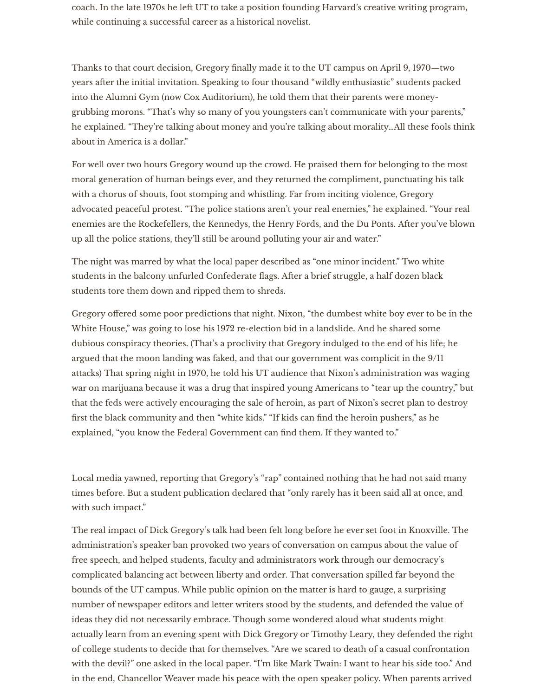coach. In the late 1970s he left UT to take a position founding Harvard's creative writing program, while continuing a successful career as a historical novelist.

Thanks to that court decision, Gregory finally made it to the UT campus on April 9, 1970—two years afer the initial invitation. Speaking to four thousand "wildly enthusiastic" students packed into the Alumni Gym (now Cox Auditorium), he told them that their parents were moneygrubbing morons. "That's why so many of you youngsters can't communicate with your parents," he explained. "They're talking about money and you're talking about morality…All these fools think about in America is a dollar."

For well over two hours Gregory wound up the crowd. He praised them for belonging to the most moral generation of human beings ever, and they returned the compliment, punctuating his talk with a chorus of shouts, foot stomping and whistling. Far from inciting violence, Gregory advocated peaceful protest. "The police stations aren't your real enemies," he explained. "Your real enemies are the Rockefellers, the Kennedys, the Henry Fords, and the Du Ponts. Afer you've blown up all the police stations, they'll still be around polluting your air and water."

The night was marred by what the local paper described as "one minor incident." Two white students in the balcony unfurled Confederate flags. Afer a brief struggle, a half dozen black students tore them down and ripped them to shreds.

Gregory offered some poor predictions that night. Nixon, "the dumbest white boy ever to be in the White House," was going to lose his 1972 re-election bid in a landslide. And he shared some dubious conspiracy theories. (That's a proclivity that Gregory indulged to the end of his life; he argued that the moon landing was faked, and that our government was complicit in the 9/11 attacks) That spring night in 1970, he told his UT audience that Nixon's administration was waging war on marijuana because it was a drug that inspired young Americans to "tear up the country," but that the feds were actively encouraging the sale of heroin, as part of Nixon's secret plan to destroy first the black community and then "white kids." "If kids can find the heroin pushers," as he explained, "you know the Federal Government can find them. If they wanted to."

Local media yawned, reporting that Gregory's "rap" contained nothing that he had not said many times before. But a student publication declared that "only rarely has it been said all at once, and with such impact."

The real impact of Dick Gregory's talk had been felt long before he ever set foot in Knoxville. The administration's speaker ban provoked two years of conversation on campus about the value of free speech, and helped students, faculty and administrators work through our democracy's complicated balancing act between liberty and order. That conversation spilled far beyond the bounds of the UT campus. While public opinion on the matter is hard to gauge, a surprising number of newspaper editors and letter writers stood by the students, and defended the value of ideas they did not necessarily embrace. Though some wondered aloud what students might actually learn from an evening spent with Dick Gregory or Timothy Leary, they defended the right of college students to decide that for themselves. "Are we scared to death of a casual confrontation with the devil?" one asked in the local paper. "I'm like Mark Twain: I want to hear his side too." And in the end, Chancellor Weaver made his peace with the open speaker policy. When parents arrived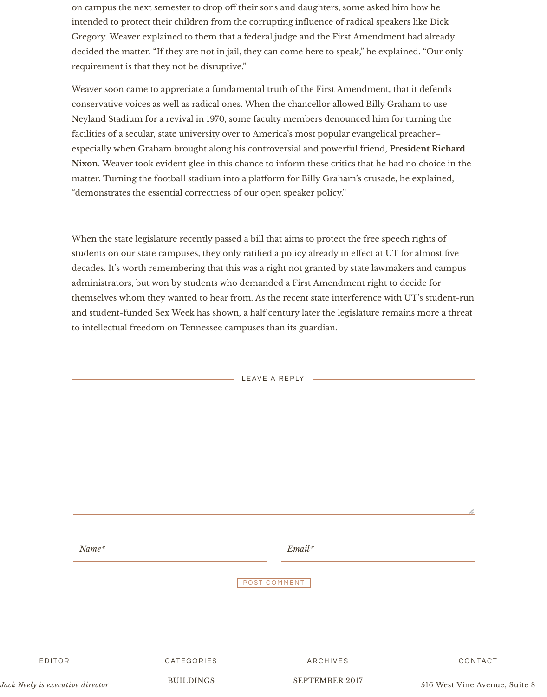| Name* |  | $\mathcal{L}$ mail* |
|-------|--|---------------------|
|-------|--|---------------------|

POST COMMENT

on campus the next semester to drop off their sons and daughters, some asked him how he intended to protect their children from the corrupting influence of radical speakers like Dick Gregory. Weaver explained to them that a federal judge and the First Amendment had already decided the matter. "If they are not in jail, they can come here to speak," he explained. "Our only requirement is that they not be disruptive."

Weaver soon came to appreciate a fundamental truth of the First Amendment, that it defends conservative voices as well as radical ones. When the chancellor allowed Billy Graham to use Neyland Stadium for a revival in 1970, some faculty members denounced him for turning the facilities of a secular, state university over to America's most popular evangelical preacher– especially when Graham brought along his controversial and powerful friend, **President Richard Nixon**. Weaver took evident glee in this chance to inform these critics that he had no choice in the matter. Turning the football stadium into a platform for Billy Graham's crusade, he explained, "demonstrates the essential correctness of our open speaker policy."



When the state legislature recently passed a bill that aims to protect the free speech rights of students on our state campuses, they only ratified a policy already in effect at UT for almost five decades. It's worth remembering that this was a right not granted by state lawmakers and campus administrators, but won by students who demanded a First Amendment right to decide for themselves whom they wanted to hear from. As the recent state interference with UT's student-run and student-funded Sex Week has shown, a half century later the legislature remains more a threat to intellectual freedom on Tennessee campuses than its guardian.

LEAVE A REPLY